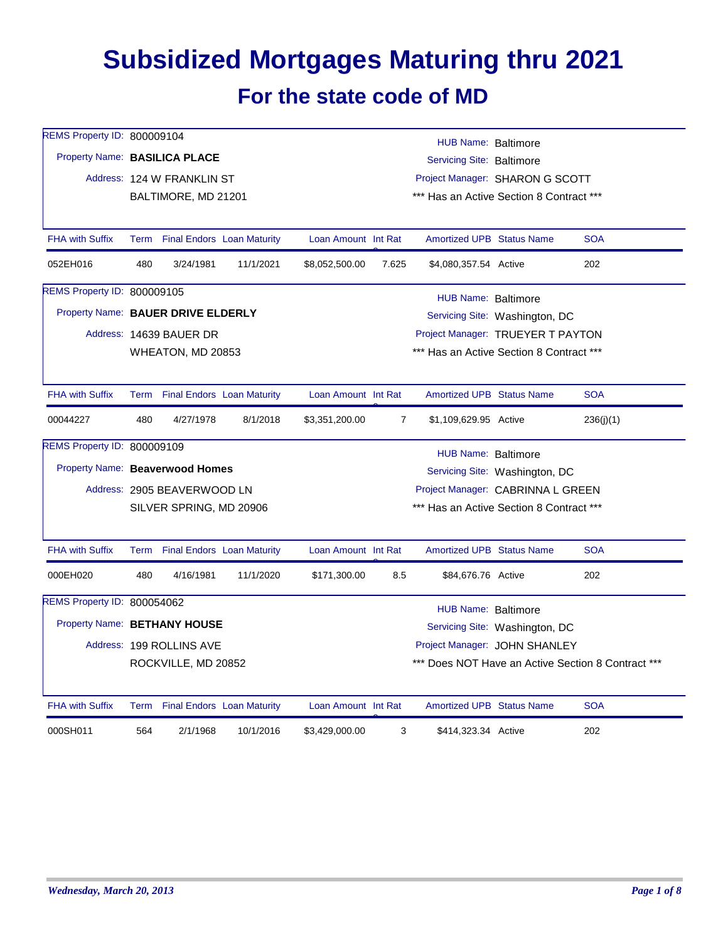## **Subsidized Mortgages Maturing thru 2021**

## **For the state code of MD**

| REMS Property ID: 800009104        | HUB Name: Baltimore |                                 |           |                                          |                |                                          |                                |                                                    |  |  |
|------------------------------------|---------------------|---------------------------------|-----------|------------------------------------------|----------------|------------------------------------------|--------------------------------|----------------------------------------------------|--|--|
| Property Name: BASILICA PLACE      |                     |                                 |           | Servicing Site: Baltimore                |                |                                          |                                |                                                    |  |  |
|                                    |                     | Address: 124 W FRANKLIN ST      |           | Project Manager: SHARON G SCOTT          |                |                                          |                                |                                                    |  |  |
|                                    |                     | BALTIMORE, MD 21201             |           | *** Has an Active Section 8 Contract *** |                |                                          |                                |                                                    |  |  |
| <b>FHA with Suffix</b>             |                     | Term Final Endors Loan Maturity |           | Loan Amount Int Rat                      |                | <b>Amortized UPB Status Name</b>         |                                | <b>SOA</b>                                         |  |  |
| 052EH016                           | 480                 | 3/24/1981                       | 11/1/2021 | \$8,052,500.00                           | 7.625          | \$4,080,357.54 Active                    |                                | 202                                                |  |  |
| REMS Property ID: 800009105        |                     |                                 |           |                                          |                | HUB Name: Baltimore                      |                                |                                                    |  |  |
| Property Name: BAUER DRIVE ELDERLY |                     |                                 |           |                                          |                |                                          | Servicing Site: Washington, DC |                                                    |  |  |
|                                    |                     | Address: 14639 BAUER DR         |           |                                          |                | Project Manager: TRUEYER T PAYTON        |                                |                                                    |  |  |
|                                    |                     | WHEATON, MD 20853               |           |                                          |                | *** Has an Active Section 8 Contract *** |                                |                                                    |  |  |
| <b>FHA with Suffix</b>             |                     | Term Final Endors Loan Maturity |           | Loan Amount Int Rat                      |                | <b>Amortized UPB Status Name</b>         |                                | <b>SOA</b>                                         |  |  |
| 00044227                           | 480                 | 4/27/1978                       | 8/1/2018  | \$3,351,200.00                           | $\overline{7}$ | \$1,109,629.95 Active                    |                                | 236(j)(1)                                          |  |  |
| REMS Property ID: 800009109        |                     |                                 |           |                                          |                | HUB Name: Baltimore                      |                                |                                                    |  |  |
| Property Name: Beaverwood Homes    |                     |                                 |           |                                          |                |                                          | Servicing Site: Washington, DC |                                                    |  |  |
|                                    |                     | Address: 2905 BEAVERWOOD LN     |           | Project Manager: CABRINNA L GREEN        |                |                                          |                                |                                                    |  |  |
|                                    |                     | SILVER SPRING, MD 20906         |           |                                          |                | *** Has an Active Section 8 Contract *** |                                |                                                    |  |  |
| <b>FHA with Suffix</b>             |                     | Term Final Endors Loan Maturity |           | Loan Amount Int Rat                      |                | <b>Amortized UPB Status Name</b>         |                                | <b>SOA</b>                                         |  |  |
| 000EH020                           | 480                 | 4/16/1981                       | 11/1/2020 | \$171,300.00                             | 8.5            | \$84,676.76 Active                       |                                | 202                                                |  |  |
| REMS Property ID: 800054062        |                     |                                 |           |                                          |                | HUB Name: Baltimore                      |                                |                                                    |  |  |
| Property Name: BETHANY HOUSE       |                     |                                 |           |                                          |                |                                          | Servicing Site: Washington, DC |                                                    |  |  |
|                                    |                     | Address: 199 ROLLINS AVE        |           |                                          |                | Project Manager: JOHN SHANLEY            |                                |                                                    |  |  |
|                                    |                     | ROCKVILLE, MD 20852             |           |                                          |                |                                          |                                | *** Does NOT Have an Active Section 8 Contract *** |  |  |
| <b>FHA with Suffix</b>             |                     | Term Final Endors Loan Maturity |           | Loan Amount Int Rat                      |                | <b>Amortized UPB Status Name</b>         |                                | <b>SOA</b>                                         |  |  |
| 000SH011                           | 564                 | 2/1/1968                        | 10/1/2016 | \$3,429,000.00                           | 3              | \$414,323.34 Active                      |                                | 202                                                |  |  |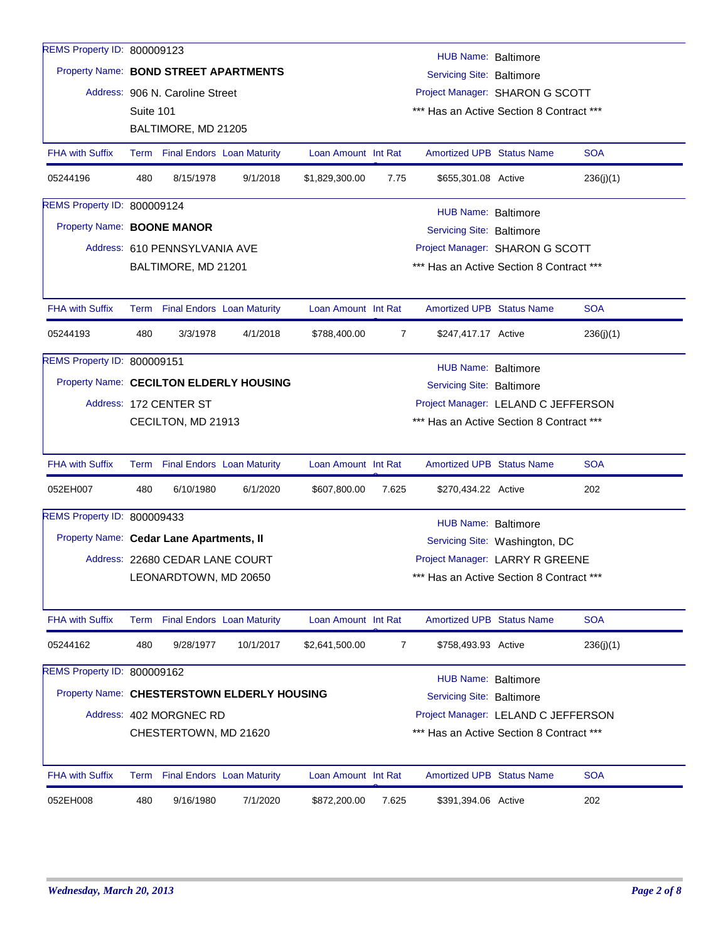| REMS Property ID: 800009123              |                                                                                                  |                                 |                                             |                     |                |                                          |                                |            |  |  |  |  |  |
|------------------------------------------|--------------------------------------------------------------------------------------------------|---------------------------------|---------------------------------------------|---------------------|----------------|------------------------------------------|--------------------------------|------------|--|--|--|--|--|
|                                          | HUB Name: Baltimore<br>Property Name: BOND STREET APARTMENTS<br><b>Servicing Site: Baltimore</b> |                                 |                                             |                     |                |                                          |                                |            |  |  |  |  |  |
|                                          |                                                                                                  | Address: 906 N. Caroline Street |                                             |                     |                | Project Manager: SHARON G SCOTT          |                                |            |  |  |  |  |  |
|                                          | Suite 101<br>*** Has an Active Section 8 Contract ***                                            |                                 |                                             |                     |                |                                          |                                |            |  |  |  |  |  |
|                                          |                                                                                                  | BALTIMORE, MD 21205             |                                             |                     |                |                                          |                                |            |  |  |  |  |  |
| <b>FHA with Suffix</b>                   |                                                                                                  |                                 | Term Final Endors Loan Maturity             | Loan Amount Int Rat |                | <b>Amortized UPB Status Name</b>         |                                | <b>SOA</b> |  |  |  |  |  |
| 05244196                                 | 480                                                                                              | 8/15/1978                       | 9/1/2018                                    | \$1,829,300.00      | 7.75           | \$655,301.08 Active                      |                                | 236(j)(1)  |  |  |  |  |  |
| REMS Property ID: 800009124              |                                                                                                  | HUB Name: Baltimore             |                                             |                     |                |                                          |                                |            |  |  |  |  |  |
| Property Name: BOONE MANOR               |                                                                                                  |                                 |                                             |                     |                | Servicing Site: Baltimore                |                                |            |  |  |  |  |  |
|                                          |                                                                                                  | Address: 610 PENNSYLVANIA AVE   |                                             |                     |                | Project Manager: SHARON G SCOTT          |                                |            |  |  |  |  |  |
|                                          |                                                                                                  | BALTIMORE, MD 21201             |                                             |                     |                | *** Has an Active Section 8 Contract *** |                                |            |  |  |  |  |  |
|                                          |                                                                                                  |                                 |                                             |                     |                |                                          |                                |            |  |  |  |  |  |
| <b>FHA with Suffix</b>                   |                                                                                                  |                                 | Term Final Endors Loan Maturity             | Loan Amount Int Rat |                | <b>Amortized UPB Status Name</b>         |                                | <b>SOA</b> |  |  |  |  |  |
| 05244193                                 | 480                                                                                              | 3/3/1978                        | 4/1/2018                                    | \$788,400.00        | $\overline{7}$ | \$247,417.17 Active                      |                                | 236(j)(1)  |  |  |  |  |  |
| REMS Property ID: 800009151              |                                                                                                  |                                 |                                             |                     |                | HUB Name: Baltimore                      |                                |            |  |  |  |  |  |
|                                          |                                                                                                  |                                 | Property Name: CECILTON ELDERLY HOUSING     |                     |                | <b>Servicing Site: Baltimore</b>         |                                |            |  |  |  |  |  |
|                                          |                                                                                                  | Address: 172 CENTER ST          |                                             |                     |                | Project Manager: LELAND C JEFFERSON      |                                |            |  |  |  |  |  |
|                                          |                                                                                                  | CECILTON, MD 21913              |                                             |                     |                | *** Has an Active Section 8 Contract *** |                                |            |  |  |  |  |  |
|                                          |                                                                                                  |                                 |                                             |                     |                |                                          |                                |            |  |  |  |  |  |
| <b>FHA with Suffix</b>                   |                                                                                                  |                                 | Term Final Endors Loan Maturity             | Loan Amount Int Rat |                | Amortized UPB Status Name                |                                | <b>SOA</b> |  |  |  |  |  |
| 052EH007                                 | 480                                                                                              | 6/10/1980                       | 6/1/2020                                    | \$607,800.00        | 7.625          | \$270,434.22 Active                      |                                | 202        |  |  |  |  |  |
| REMS Property ID: 800009433              |                                                                                                  |                                 |                                             |                     |                | <b>HUB Name: Baltimore</b>               |                                |            |  |  |  |  |  |
| Property Name: Cedar Lane Apartments, II |                                                                                                  |                                 |                                             |                     |                |                                          | Servicing Site: Washington, DC |            |  |  |  |  |  |
|                                          |                                                                                                  | Address: 22680 CEDAR LANE COURT |                                             |                     |                | Project Manager: LARRY R GREENE          |                                |            |  |  |  |  |  |
|                                          |                                                                                                  | LEONARDTOWN, MD 20650           |                                             |                     |                | *** Has an Active Section 8 Contract *** |                                |            |  |  |  |  |  |
|                                          |                                                                                                  |                                 |                                             |                     |                |                                          |                                |            |  |  |  |  |  |
| <b>FHA with Suffix</b>                   |                                                                                                  |                                 | Term Final Endors Loan Maturity             | Loan Amount Int Rat |                | <b>Amortized UPB Status Name</b>         |                                | <b>SOA</b> |  |  |  |  |  |
| 05244162                                 | 480                                                                                              | 9/28/1977                       | 10/1/2017                                   | \$2,641,500.00      | 7              | \$758,493.93 Active                      |                                | 236(j)(1)  |  |  |  |  |  |
| REMS Property ID: 800009162              |                                                                                                  |                                 |                                             |                     |                | <b>HUB Name: Baltimore</b>               |                                |            |  |  |  |  |  |
|                                          |                                                                                                  |                                 | Property Name: CHESTERSTOWN ELDERLY HOUSING |                     |                | <b>Servicing Site: Baltimore</b>         |                                |            |  |  |  |  |  |
|                                          |                                                                                                  | Address: 402 MORGNEC RD         |                                             |                     |                | Project Manager: LELAND C JEFFERSON      |                                |            |  |  |  |  |  |
|                                          |                                                                                                  | CHESTERTOWN, MD 21620           |                                             |                     |                | *** Has an Active Section 8 Contract *** |                                |            |  |  |  |  |  |
|                                          |                                                                                                  |                                 |                                             |                     |                |                                          |                                |            |  |  |  |  |  |
| <b>FHA with Suffix</b>                   |                                                                                                  |                                 | Term Final Endors Loan Maturity             | Loan Amount Int Rat |                | Amortized UPB Status Name                |                                | <b>SOA</b> |  |  |  |  |  |
| 052EH008                                 | 480                                                                                              | 9/16/1980                       | 7/1/2020                                    | \$872,200.00        | 7.625          | \$391,394.06 Active                      |                                | 202        |  |  |  |  |  |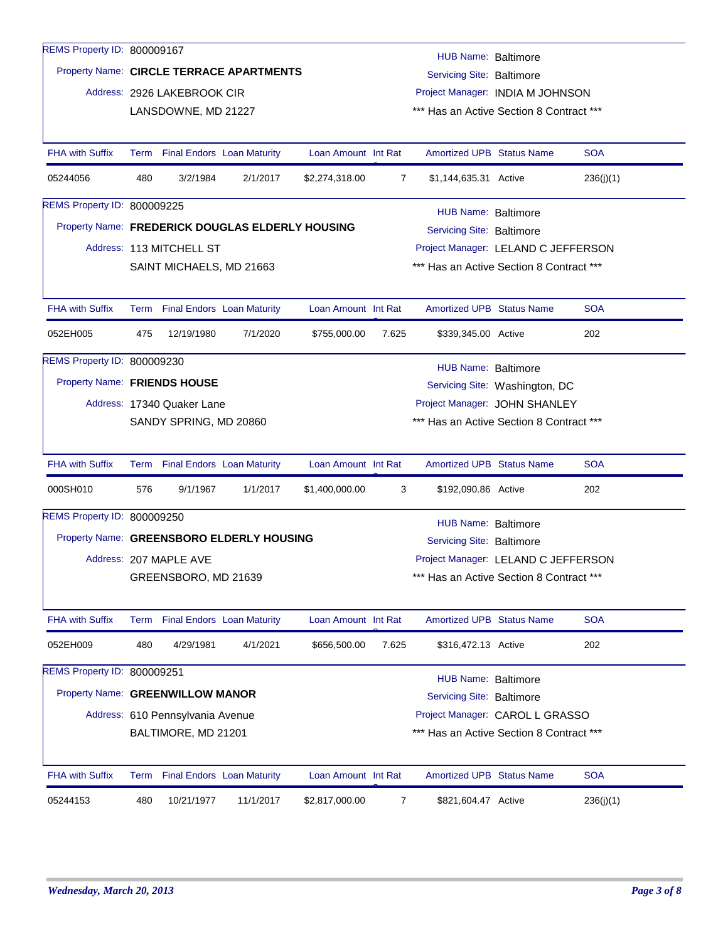| REMS Property ID: 800009167        |     |                                                                       |                                                  |                     |       | HUB Name: Baltimore                                                             |  |            |  |  |  |
|------------------------------------|-----|-----------------------------------------------------------------------|--------------------------------------------------|---------------------|-------|---------------------------------------------------------------------------------|--|------------|--|--|--|
|                                    |     | Property Name: CIRCLE TERRACE APARTMENTS<br>Servicing Site: Baltimore |                                                  |                     |       |                                                                                 |  |            |  |  |  |
|                                    |     | Address: 2926 LAKEBROOK CIR                                           |                                                  |                     |       | Project Manager: INDIA M JOHNSON                                                |  |            |  |  |  |
|                                    |     | LANSDOWNE, MD 21227                                                   |                                                  |                     |       | *** Has an Active Section 8 Contract ***                                        |  |            |  |  |  |
|                                    |     |                                                                       |                                                  |                     |       |                                                                                 |  |            |  |  |  |
| <b>FHA with Suffix</b>             |     | Term Final Endors Loan Maturity                                       |                                                  | Loan Amount Int Rat |       | <b>Amortized UPB Status Name</b>                                                |  | <b>SOA</b> |  |  |  |
| 05244056                           | 480 | 3/2/1984                                                              | 2/1/2017                                         | \$2,274,318.00      | 7     | \$1,144,635.31 Active                                                           |  | 236(j)(1)  |  |  |  |
| <b>REMS Property ID: 800009225</b> |     |                                                                       |                                                  |                     |       | HUB Name: Baltimore                                                             |  |            |  |  |  |
|                                    |     |                                                                       | Property Name: FREDERICK DOUGLAS ELDERLY HOUSING |                     |       | <b>Servicing Site: Baltimore</b>                                                |  |            |  |  |  |
|                                    |     | Address: 113 MITCHELL ST                                              |                                                  |                     |       | Project Manager: LELAND C JEFFERSON                                             |  |            |  |  |  |
|                                    |     | SAINT MICHAELS, MD 21663                                              |                                                  |                     |       | *** Has an Active Section 8 Contract ***                                        |  |            |  |  |  |
|                                    |     |                                                                       |                                                  |                     |       |                                                                                 |  |            |  |  |  |
| <b>FHA with Suffix</b>             |     |                                                                       | Term Final Endors Loan Maturity                  | Loan Amount Int Rat |       | <b>Amortized UPB Status Name</b>                                                |  | <b>SOA</b> |  |  |  |
| 052EH005                           | 475 | 12/19/1980                                                            | 7/1/2020                                         | \$755,000.00        | 7.625 | \$339,345.00 Active                                                             |  | 202        |  |  |  |
| REMS Property ID: 800009230        |     |                                                                       |                                                  |                     |       |                                                                                 |  |            |  |  |  |
| Property Name: FRIENDS HOUSE       |     |                                                                       |                                                  |                     |       | HUB Name: Baltimore<br>Servicing Site: Washington, DC                           |  |            |  |  |  |
|                                    |     | Address: 17340 Quaker Lane                                            |                                                  |                     |       | Project Manager: JOHN SHANLEY                                                   |  |            |  |  |  |
|                                    |     | SANDY SPRING, MD 20860                                                |                                                  |                     |       | *** Has an Active Section 8 Contract ***                                        |  |            |  |  |  |
|                                    |     |                                                                       |                                                  |                     |       |                                                                                 |  |            |  |  |  |
| <b>FHA with Suffix</b>             |     |                                                                       | Term Final Endors Loan Maturity                  | Loan Amount Int Rat |       | <b>Amortized UPB Status Name</b>                                                |  | <b>SOA</b> |  |  |  |
| 000SH010                           | 576 | 9/1/1967                                                              | 1/1/2017                                         | \$1,400,000.00      | 3     | \$192,090.86 Active                                                             |  | 202        |  |  |  |
| REMS Property ID: 800009250        |     |                                                                       |                                                  |                     |       | <b>HUB Name: Baltimore</b>                                                      |  |            |  |  |  |
|                                    |     |                                                                       | Property Name: GREENSBORO ELDERLY HOUSING        |                     |       | <b>Servicing Site: Baltimore</b>                                                |  |            |  |  |  |
|                                    |     | Address: 207 MAPLE AVE                                                |                                                  |                     |       |                                                                                 |  |            |  |  |  |
|                                    |     | GREENSBORO, MD 21639                                                  |                                                  |                     |       | Project Manager: LELAND C JEFFERSON<br>*** Has an Active Section 8 Contract *** |  |            |  |  |  |
|                                    |     |                                                                       |                                                  |                     |       |                                                                                 |  |            |  |  |  |
| <b>FHA with Suffix</b>             |     | Term Final Endors Loan Maturity                                       |                                                  | Loan Amount Int Rat |       | Amortized UPB Status Name                                                       |  | <b>SOA</b> |  |  |  |
| 052EH009                           | 480 | 4/29/1981                                                             | 4/1/2021                                         | \$656,500.00        | 7.625 | \$316,472.13 Active                                                             |  | 202        |  |  |  |
| REMS Property ID: 800009251        |     |                                                                       |                                                  |                     |       | <b>HUB Name: Baltimore</b>                                                      |  |            |  |  |  |
| Property Name: GREENWILLOW MANOR   |     |                                                                       |                                                  |                     |       | <b>Servicing Site: Baltimore</b>                                                |  |            |  |  |  |
|                                    |     | Address: 610 Pennsylvania Avenue                                      |                                                  |                     |       | Project Manager: CAROL L GRASSO                                                 |  |            |  |  |  |
|                                    |     |                                                                       |                                                  |                     |       | *** Has an Active Section 8 Contract ***                                        |  |            |  |  |  |
|                                    |     | BALTIMORE, MD 21201                                                   |                                                  |                     |       |                                                                                 |  |            |  |  |  |
| <b>FHA with Suffix</b>             |     |                                                                       | Term Final Endors Loan Maturity                  | Loan Amount Int Rat |       | <b>Amortized UPB Status Name</b>                                                |  | <b>SOA</b> |  |  |  |
| 05244153                           | 480 | 10/21/1977                                                            | 11/1/2017                                        | \$2,817,000.00      | 7     | \$821,604.47 Active                                                             |  | 236(j)(1)  |  |  |  |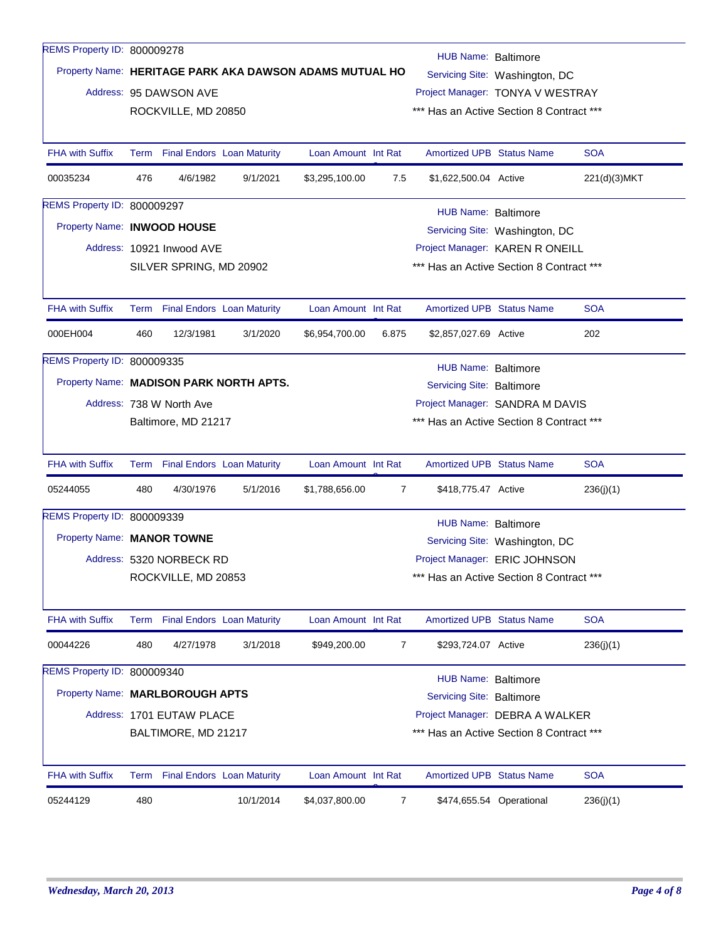| REMS Property ID: 800009278        |                                                                                |                                                                                             |                                         |                     |                                                                              |                                          |                                          |              |  |  |  |  |
|------------------------------------|--------------------------------------------------------------------------------|---------------------------------------------------------------------------------------------|-----------------------------------------|---------------------|------------------------------------------------------------------------------|------------------------------------------|------------------------------------------|--------------|--|--|--|--|
|                                    | HUB Name: Baltimore<br>Property Name: HERITAGE PARK AKA DAWSON ADAMS MUTUAL HO |                                                                                             |                                         |                     |                                                                              |                                          |                                          |              |  |  |  |  |
|                                    |                                                                                | Address: 95 DAWSON AVE                                                                      |                                         |                     |                                                                              | Servicing Site: Washington, DC           |                                          |              |  |  |  |  |
|                                    |                                                                                | ROCKVILLE, MD 20850                                                                         |                                         |                     | Project Manager: TONYA V WESTRAY<br>*** Has an Active Section 8 Contract *** |                                          |                                          |              |  |  |  |  |
|                                    |                                                                                |                                                                                             |                                         |                     |                                                                              |                                          |                                          |              |  |  |  |  |
| <b>FHA with Suffix</b>             |                                                                                |                                                                                             | Term Final Endors Loan Maturity         | Loan Amount Int Rat |                                                                              | <b>Amortized UPB Status Name</b>         |                                          | <b>SOA</b>   |  |  |  |  |
| 00035234                           | 476                                                                            | 4/6/1982                                                                                    | 9/1/2021                                | \$3,295,100.00      | 7.5                                                                          | \$1,622,500.04 Active                    |                                          | 221(d)(3)MKT |  |  |  |  |
| REMS Property ID: 800009297        |                                                                                |                                                                                             |                                         |                     |                                                                              |                                          |                                          |              |  |  |  |  |
|                                    |                                                                                | <b>HUB Name: Baltimore</b><br>Property Name: INWOOD HOUSE<br>Servicing Site: Washington, DC |                                         |                     |                                                                              |                                          |                                          |              |  |  |  |  |
|                                    |                                                                                | Address: 10921 Inwood AVE                                                                   |                                         |                     |                                                                              | Project Manager: KAREN R ONEILL          |                                          |              |  |  |  |  |
|                                    |                                                                                | SILVER SPRING, MD 20902                                                                     |                                         |                     |                                                                              | *** Has an Active Section 8 Contract *** |                                          |              |  |  |  |  |
|                                    |                                                                                |                                                                                             |                                         |                     |                                                                              |                                          |                                          |              |  |  |  |  |
| <b>FHA with Suffix</b>             |                                                                                |                                                                                             | Term Final Endors Loan Maturity         | Loan Amount Int Rat |                                                                              | <b>Amortized UPB Status Name</b>         |                                          | <b>SOA</b>   |  |  |  |  |
| 000EH004                           | 460                                                                            | 12/3/1981                                                                                   | 3/1/2020                                | \$6,954,700.00      | 6.875                                                                        | \$2,857,027.69 Active                    |                                          | 202          |  |  |  |  |
| <b>REMS Property ID: 800009335</b> |                                                                                |                                                                                             |                                         |                     |                                                                              | <b>HUB Name: Baltimore</b>               |                                          |              |  |  |  |  |
|                                    |                                                                                |                                                                                             | Property Name: MADISON PARK NORTH APTS. |                     |                                                                              | <b>Servicing Site: Baltimore</b>         |                                          |              |  |  |  |  |
|                                    |                                                                                | Address: 738 W North Ave                                                                    |                                         |                     |                                                                              | Project Manager: SANDRA M DAVIS          |                                          |              |  |  |  |  |
|                                    | Baltimore, MD 21217                                                            |                                                                                             |                                         |                     |                                                                              |                                          | *** Has an Active Section 8 Contract *** |              |  |  |  |  |
|                                    |                                                                                |                                                                                             |                                         |                     |                                                                              |                                          |                                          |              |  |  |  |  |
| <b>FHA with Suffix</b>             |                                                                                |                                                                                             | Term Final Endors Loan Maturity         | Loan Amount Int Rat |                                                                              | <b>Amortized UPB Status Name</b>         |                                          | <b>SOA</b>   |  |  |  |  |
| 05244055                           | 480                                                                            | 4/30/1976                                                                                   | 5/1/2016                                | \$1,788,656.00      | 7                                                                            | \$418,775.47 Active                      |                                          | 236(j)(1)    |  |  |  |  |
| REMS Property ID: 800009339        |                                                                                |                                                                                             |                                         |                     |                                                                              | <b>HUB Name: Baltimore</b>               |                                          |              |  |  |  |  |
| Property Name: MANOR TOWNE         |                                                                                |                                                                                             |                                         |                     |                                                                              |                                          | Servicing Site: Washington, DC           |              |  |  |  |  |
|                                    |                                                                                | Address: 5320 NORBECK RD                                                                    |                                         |                     |                                                                              | Project Manager: ERIC JOHNSON            |                                          |              |  |  |  |  |
|                                    |                                                                                | ROCKVILLE, MD 20853                                                                         |                                         |                     |                                                                              | *** Has an Active Section 8 Contract *** |                                          |              |  |  |  |  |
|                                    |                                                                                |                                                                                             |                                         |                     |                                                                              |                                          |                                          |              |  |  |  |  |
| <b>FHA with Suffix</b>             |                                                                                |                                                                                             | Term Final Endors Loan Maturity         | Loan Amount Int Rat |                                                                              | <b>Amortized UPB Status Name</b>         |                                          | <b>SOA</b>   |  |  |  |  |
| 00044226                           | 480                                                                            | 4/27/1978                                                                                   | 3/1/2018                                | \$949,200.00        | 7                                                                            | \$293,724.07 Active                      |                                          | 236(j)(1)    |  |  |  |  |
| REMS Property ID: 800009340        |                                                                                |                                                                                             |                                         |                     |                                                                              | <b>HUB Name: Baltimore</b>               |                                          |              |  |  |  |  |
| Property Name: MARLBOROUGH APTS    |                                                                                |                                                                                             |                                         |                     |                                                                              | <b>Servicing Site: Baltimore</b>         |                                          |              |  |  |  |  |
|                                    |                                                                                | Address: 1701 EUTAW PLACE                                                                   |                                         |                     |                                                                              | Project Manager: DEBRA A WALKER          |                                          |              |  |  |  |  |
|                                    |                                                                                | BALTIMORE, MD 21217                                                                         |                                         |                     |                                                                              | *** Has an Active Section 8 Contract *** |                                          |              |  |  |  |  |
|                                    |                                                                                |                                                                                             |                                         |                     |                                                                              |                                          |                                          |              |  |  |  |  |
| <b>FHA with Suffix</b>             |                                                                                |                                                                                             | Term Final Endors Loan Maturity         | Loan Amount Int Rat |                                                                              | <b>Amortized UPB Status Name</b>         |                                          | <b>SOA</b>   |  |  |  |  |
| 05244129                           | 480                                                                            |                                                                                             | 10/1/2014                               | \$4,037,800.00      | 7                                                                            |                                          | \$474,655.54 Operational                 | 236(j)(1)    |  |  |  |  |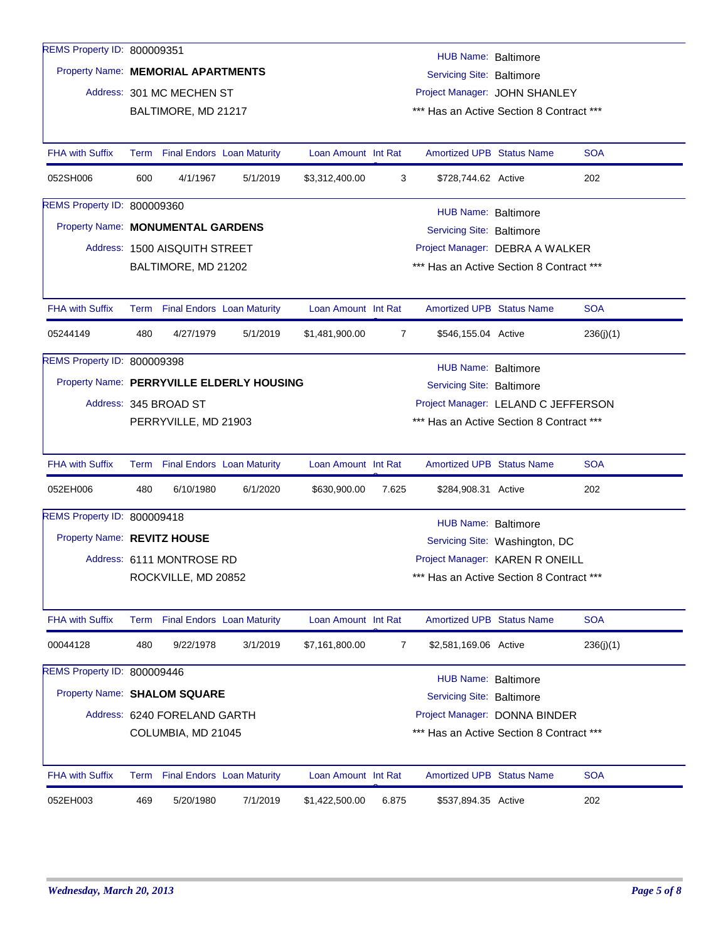| REMS Property ID: 800009351               |                                                                                           |                                 |          |                     |       | HUB Name: Baltimore                      |                                 |            |
|-------------------------------------------|-------------------------------------------------------------------------------------------|---------------------------------|----------|---------------------|-------|------------------------------------------|---------------------------------|------------|
| Property Name: MEMORIAL APARTMENTS        |                                                                                           |                                 |          |                     |       | <b>Servicing Site: Baltimore</b>         |                                 |            |
|                                           |                                                                                           | Address: 301 MC MECHEN ST       |          |                     |       |                                          | Project Manager: JOHN SHANLEY   |            |
|                                           |                                                                                           | BALTIMORE, MD 21217             |          |                     |       | *** Has an Active Section 8 Contract *** |                                 |            |
|                                           |                                                                                           |                                 |          |                     |       |                                          |                                 |            |
| <b>FHA with Suffix</b>                    |                                                                                           | Term Final Endors Loan Maturity |          | Loan Amount Int Rat |       | <b>Amortized UPB Status Name</b>         |                                 | <b>SOA</b> |
| 052SH006                                  | 600                                                                                       | 4/1/1967                        | 5/1/2019 | \$3,312,400.00      | 3     | \$728,744.62 Active                      |                                 | 202        |
| <b>REMS Property ID: 800009360</b>        |                                                                                           |                                 |          |                     |       | HUB Name: Baltimore                      |                                 |            |
| Property Name: MONUMENTAL GARDENS         |                                                                                           |                                 |          |                     |       | <b>Servicing Site: Baltimore</b>         |                                 |            |
|                                           |                                                                                           | Address: 1500 AISQUITH STREET   |          |                     |       |                                          | Project Manager: DEBRA A WALKER |            |
|                                           |                                                                                           | BALTIMORE, MD 21202             |          |                     |       | *** Has an Active Section 8 Contract *** |                                 |            |
|                                           |                                                                                           |                                 |          |                     |       |                                          |                                 |            |
| <b>FHA with Suffix</b>                    |                                                                                           | Term Final Endors Loan Maturity |          | Loan Amount Int Rat |       | <b>Amortized UPB Status Name</b>         |                                 | <b>SOA</b> |
| 05244149                                  | 480                                                                                       | 4/27/1979                       | 5/1/2019 | \$1,481,900.00      | 7     | \$546,155.04 Active                      |                                 | 236(j)(1)  |
| REMS Property ID: 800009398               |                                                                                           |                                 |          |                     |       | HUB Name: Baltimore                      |                                 |            |
| Property Name: PERRYVILLE ELDERLY HOUSING |                                                                                           |                                 |          |                     |       |                                          |                                 |            |
|                                           | Servicing Site: Baltimore<br>Address: 345 BROAD ST<br>Project Manager: LELAND C JEFFERSON |                                 |          |                     |       |                                          |                                 |            |
|                                           |                                                                                           | PERRYVILLE, MD 21903            |          |                     |       | *** Has an Active Section 8 Contract *** |                                 |            |
|                                           |                                                                                           |                                 |          |                     |       |                                          |                                 |            |
| <b>FHA with Suffix</b>                    |                                                                                           | Term Final Endors Loan Maturity |          | Loan Amount Int Rat |       | Amortized UPB Status Name                |                                 | <b>SOA</b> |
| 052EH006                                  | 480                                                                                       | 6/10/1980                       | 6/1/2020 | \$630,900.00        | 7.625 | \$284,908.31 Active                      |                                 | 202        |
| REMS Property ID: 800009418               |                                                                                           |                                 |          |                     |       | <b>HUB Name: Baltimore</b>               |                                 |            |
| Property Name: REVITZ HOUSE               |                                                                                           |                                 |          |                     |       |                                          | Servicing Site: Washington, DC  |            |
|                                           |                                                                                           | Address: 6111 MONTROSE RD       |          |                     |       |                                          | Project Manager: KAREN R ONEILL |            |
|                                           |                                                                                           | ROCKVILLE, MD 20852             |          |                     |       | *** Has an Active Section 8 Contract *** |                                 |            |
|                                           |                                                                                           |                                 |          |                     |       |                                          |                                 |            |
| FHA with Suffix                           |                                                                                           | Term Final Endors Loan Maturity |          | Loan Amount Int Rat |       | <b>Amortized UPB Status Name</b>         |                                 | <b>SOA</b> |
| 00044128                                  | 480                                                                                       | 9/22/1978                       | 3/1/2019 | \$7,161,800.00      | 7     | \$2,581,169.06 Active                    |                                 | 236(j)(1)  |
| REMS Property ID: 800009446               |                                                                                           |                                 |          |                     |       | <b>HUB Name: Baltimore</b>               |                                 |            |
| Property Name: SHALOM SQUARE              |                                                                                           |                                 |          |                     |       | Servicing Site: Baltimore                |                                 |            |
|                                           |                                                                                           | Address: 6240 FORELAND GARTH    |          |                     |       |                                          | Project Manager: DONNA BINDER   |            |
|                                           |                                                                                           | COLUMBIA, MD 21045              |          |                     |       | *** Has an Active Section 8 Contract *** |                                 |            |
|                                           |                                                                                           |                                 |          |                     |       |                                          |                                 |            |
| <b>FHA with Suffix</b>                    |                                                                                           | Term Final Endors Loan Maturity |          | Loan Amount Int Rat |       | <b>Amortized UPB Status Name</b>         |                                 | <b>SOA</b> |
| 052EH003                                  | 469                                                                                       | 5/20/1980                       | 7/1/2019 | \$1,422,500.00      | 6.875 | \$537,894.35 Active                      |                                 | 202        |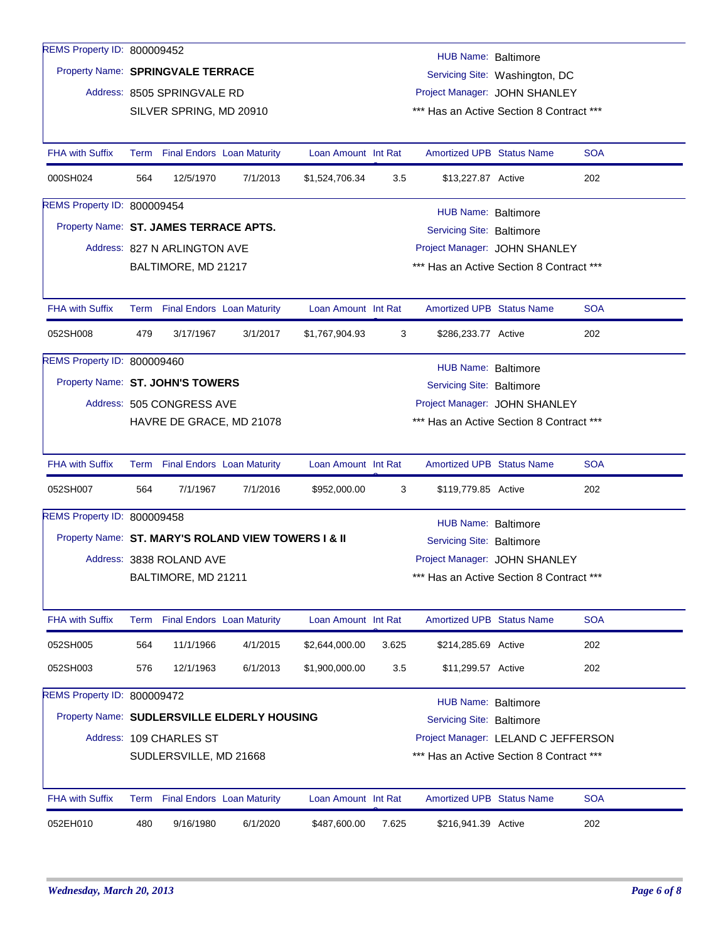| REMS Property ID: 800009452                         |                                                                     |                                 |                          |                     |       | HUB Name: Baltimore                      |                                     |            |  |  |  |  |
|-----------------------------------------------------|---------------------------------------------------------------------|---------------------------------|--------------------------|---------------------|-------|------------------------------------------|-------------------------------------|------------|--|--|--|--|
|                                                     | Property Name: SPRINGVALE TERRACE<br>Servicing Site: Washington, DC |                                 |                          |                     |       |                                          |                                     |            |  |  |  |  |
|                                                     | Address: 8505 SPRINGVALE RD<br>Project Manager: JOHN SHANLEY        |                                 |                          |                     |       |                                          |                                     |            |  |  |  |  |
|                                                     |                                                                     | SILVER SPRING, MD 20910         |                          |                     |       | *** Has an Active Section 8 Contract *** |                                     |            |  |  |  |  |
|                                                     |                                                                     |                                 |                          |                     |       |                                          |                                     |            |  |  |  |  |
| <b>FHA with Suffix</b>                              |                                                                     | Term Final Endors Loan Maturity |                          | Loan Amount Int Rat |       | <b>Amortized UPB Status Name</b>         |                                     | <b>SOA</b> |  |  |  |  |
| 000SH024                                            | 564                                                                 | 12/5/1970                       | 7/1/2013                 | \$1,524,706.34      | 3.5   | \$13,227.87 Active                       |                                     | 202        |  |  |  |  |
| REMS Property ID: 800009454                         | HUB Name: Baltimore                                                 |                                 |                          |                     |       |                                          |                                     |            |  |  |  |  |
| Property Name: ST. JAMES TERRACE APTS.              |                                                                     |                                 |                          |                     |       | <b>Servicing Site: Baltimore</b>         |                                     |            |  |  |  |  |
|                                                     |                                                                     | Address: 827 N ARLINGTON AVE    |                          |                     |       |                                          | Project Manager: JOHN SHANLEY       |            |  |  |  |  |
|                                                     |                                                                     | BALTIMORE, MD 21217             |                          |                     |       | *** Has an Active Section 8 Contract *** |                                     |            |  |  |  |  |
|                                                     |                                                                     |                                 |                          |                     |       |                                          |                                     |            |  |  |  |  |
| <b>FHA with Suffix</b>                              |                                                                     | Term Final Endors Loan Maturity |                          | Loan Amount Int Rat |       | <b>Amortized UPB Status Name</b>         |                                     | <b>SOA</b> |  |  |  |  |
| 052SH008                                            | 479                                                                 | 3/17/1967                       | 3/1/2017                 | \$1,767,904.93      | 3     | \$286,233.77 Active                      |                                     | 202        |  |  |  |  |
| REMS Property ID: 800009460                         |                                                                     |                                 |                          |                     |       | HUB Name: Baltimore                      |                                     |            |  |  |  |  |
| Property Name: ST. JOHN'S TOWERS                    |                                                                     |                                 |                          |                     |       | <b>Servicing Site: Baltimore</b>         |                                     |            |  |  |  |  |
|                                                     |                                                                     | Address: 505 CONGRESS AVE       |                          |                     |       |                                          | Project Manager: JOHN SHANLEY       |            |  |  |  |  |
|                                                     |                                                                     |                                 | HAVRE DE GRACE, MD 21078 |                     |       | *** Has an Active Section 8 Contract *** |                                     |            |  |  |  |  |
|                                                     |                                                                     |                                 |                          |                     |       |                                          |                                     |            |  |  |  |  |
| <b>FHA with Suffix</b>                              |                                                                     | Term Final Endors Loan Maturity |                          | Loan Amount Int Rat |       | <b>Amortized UPB Status Name</b>         |                                     | <b>SOA</b> |  |  |  |  |
| 052SH007                                            | 564                                                                 | 7/1/1967                        | 7/1/2016                 | \$952,000.00        | 3     | \$119,779.85 Active                      |                                     | 202        |  |  |  |  |
| REMS Property ID: 800009458                         |                                                                     |                                 |                          |                     |       | <b>HUB Name: Baltimore</b>               |                                     |            |  |  |  |  |
| Property Name: ST. MARY'S ROLAND VIEW TOWERS I & II |                                                                     |                                 |                          |                     |       | <b>Servicing Site: Baltimore</b>         |                                     |            |  |  |  |  |
|                                                     |                                                                     | Address: 3838 ROLAND AVE        |                          |                     |       |                                          | Project Manager: JOHN SHANLEY       |            |  |  |  |  |
|                                                     |                                                                     | BALTIMORE, MD 21211             |                          |                     |       | *** Has an Active Section 8 Contract *** |                                     |            |  |  |  |  |
|                                                     |                                                                     |                                 |                          |                     |       |                                          |                                     |            |  |  |  |  |
| <b>FHA with Suffix</b>                              |                                                                     | Term Final Endors Loan Maturity |                          | Loan Amount Int Rat |       | <b>Amortized UPB Status Name</b>         |                                     | <b>SOA</b> |  |  |  |  |
| 052SH005                                            | 564                                                                 | 11/1/1966                       | 4/1/2015                 | \$2,644,000.00      | 3.625 | \$214,285.69 Active                      |                                     | 202        |  |  |  |  |
| 052SH003                                            | 576                                                                 | 12/1/1963                       | 6/1/2013                 | \$1,900,000.00      | 3.5   | \$11,299.57 Active                       |                                     | 202        |  |  |  |  |
| REMS Property ID: 800009472                         |                                                                     |                                 |                          |                     |       | HUB Name: Baltimore                      |                                     |            |  |  |  |  |
| Property Name: SUDLERSVILLE ELDERLY HOUSING         |                                                                     |                                 |                          |                     |       | <b>Servicing Site: Baltimore</b>         |                                     |            |  |  |  |  |
|                                                     |                                                                     | Address: 109 CHARLES ST         |                          |                     |       |                                          | Project Manager: LELAND C JEFFERSON |            |  |  |  |  |
|                                                     |                                                                     | SUDLERSVILLE, MD 21668          |                          |                     |       | *** Has an Active Section 8 Contract *** |                                     |            |  |  |  |  |
|                                                     |                                                                     |                                 |                          |                     |       |                                          |                                     |            |  |  |  |  |
| <b>FHA with Suffix</b>                              |                                                                     | Term Final Endors Loan Maturity |                          | Loan Amount Int Rat |       | <b>Amortized UPB Status Name</b>         |                                     | <b>SOA</b> |  |  |  |  |
| 052EH010                                            | 480                                                                 | 9/16/1980                       | 6/1/2020                 | \$487,600.00        | 7.625 | \$216,941.39 Active                      |                                     | 202        |  |  |  |  |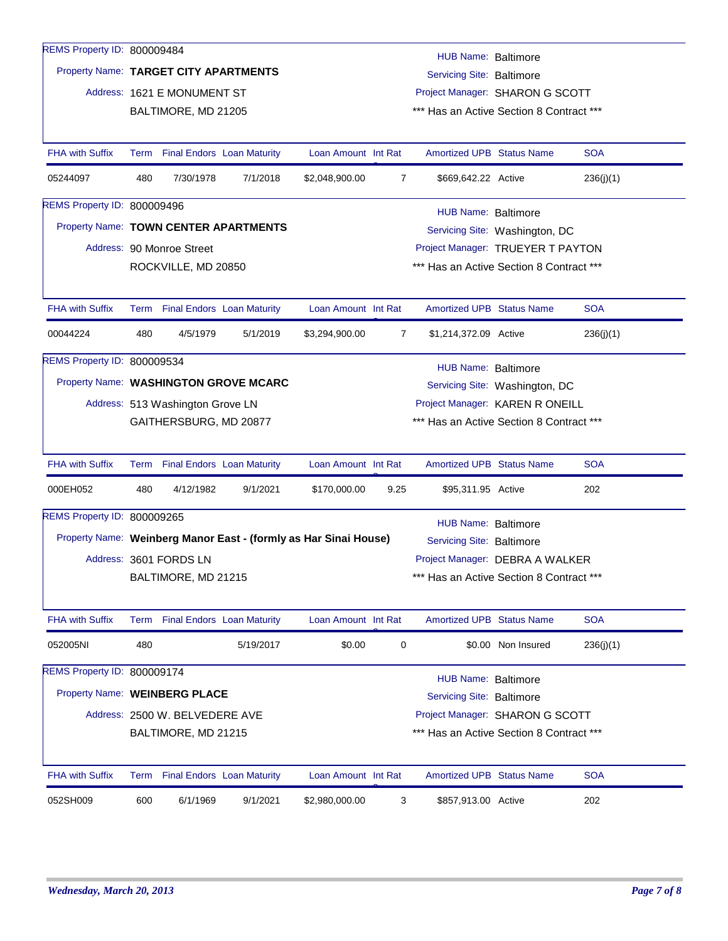| REMS Property ID: 800009484           |                                                                     |                                                    |                                       |                                                                  |      |                                                                             |                                |            |
|---------------------------------------|---------------------------------------------------------------------|----------------------------------------------------|---------------------------------------|------------------------------------------------------------------|------|-----------------------------------------------------------------------------|--------------------------------|------------|
| Property Name: TARGET CITY APARTMENTS |                                                                     |                                                    |                                       |                                                                  |      | <b>HUB Name: Baltimore</b>                                                  |                                |            |
|                                       |                                                                     |                                                    |                                       |                                                                  |      | Servicing Site: Baltimore                                                   |                                |            |
|                                       |                                                                     | Address: 1621 E MONUMENT ST<br>BALTIMORE, MD 21205 |                                       |                                                                  |      | Project Manager: SHARON G SCOTT<br>*** Has an Active Section 8 Contract *** |                                |            |
|                                       |                                                                     |                                                    |                                       |                                                                  |      |                                                                             |                                |            |
| <b>FHA with Suffix</b>                |                                                                     | Term Final Endors Loan Maturity                    |                                       | Loan Amount Int Rat                                              |      | <b>Amortized UPB Status Name</b>                                            |                                | <b>SOA</b> |
| 05244097                              | 480                                                                 | 7/30/1978                                          | 7/1/2018                              | \$2,048,900.00                                                   | 7    | \$669,642.22 Active                                                         |                                | 236(j)(1)  |
| REMS Property ID: 800009496           |                                                                     |                                                    |                                       |                                                                  |      | HUB Name: Baltimore                                                         |                                |            |
| Property Name: TOWN CENTER APARTMENTS |                                                                     |                                                    |                                       |                                                                  |      |                                                                             | Servicing Site: Washington, DC |            |
|                                       |                                                                     | Address: 90 Monroe Street                          |                                       |                                                                  |      | Project Manager: TRUEYER T PAYTON                                           |                                |            |
|                                       |                                                                     | ROCKVILLE, MD 20850                                |                                       |                                                                  |      | *** Has an Active Section 8 Contract ***                                    |                                |            |
|                                       |                                                                     |                                                    |                                       |                                                                  |      |                                                                             |                                |            |
| <b>FHA with Suffix</b>                |                                                                     | Term Final Endors Loan Maturity                    |                                       | Loan Amount Int Rat                                              |      | <b>Amortized UPB Status Name</b>                                            |                                | <b>SOA</b> |
| 00044224                              | 480                                                                 | 4/5/1979                                           | 5/1/2019                              | \$3,294,900.00                                                   | 7    | \$1,214,372.09 Active                                                       |                                | 236(j)(1)  |
| <b>REMS Property ID: 800009534</b>    |                                                                     |                                                    |                                       |                                                                  |      | HUB Name: Baltimore                                                         |                                |            |
|                                       |                                                                     |                                                    | Property Name: WASHINGTON GROVE MCARC |                                                                  |      |                                                                             | Servicing Site: Washington, DC |            |
|                                       | Project Manager: KAREN R ONEILL<br>Address: 513 Washington Grove LN |                                                    |                                       |                                                                  |      |                                                                             |                                |            |
|                                       |                                                                     | GAITHERSBURG, MD 20877                             |                                       |                                                                  |      | *** Has an Active Section 8 Contract ***                                    |                                |            |
|                                       |                                                                     |                                                    |                                       |                                                                  |      |                                                                             |                                |            |
| <b>FHA with Suffix</b>                |                                                                     | Term Final Endors Loan Maturity                    |                                       | Loan Amount Int Rat                                              |      | <b>Amortized UPB Status Name</b>                                            |                                | <b>SOA</b> |
| 000EH052                              | 480                                                                 | 4/12/1982                                          | 9/1/2021                              | \$170,000.00                                                     | 9.25 | \$95,311.95 Active                                                          |                                | 202        |
| REMS Property ID: 800009265           |                                                                     |                                                    |                                       |                                                                  |      | <b>HUB Name: Baltimore</b>                                                  |                                |            |
|                                       |                                                                     |                                                    |                                       | Property Name: Weinberg Manor East - (formly as Har Sinai House) |      | <b>Servicing Site: Baltimore</b>                                            |                                |            |
|                                       |                                                                     | Address: 3601 FORDS LN                             |                                       |                                                                  |      | Project Manager: DEBRA A WALKER                                             |                                |            |
|                                       |                                                                     | BALTIMORE, MD 21215                                |                                       |                                                                  |      | *** Has an Active Section 8 Contract ***                                    |                                |            |
|                                       |                                                                     |                                                    |                                       |                                                                  |      |                                                                             |                                |            |
| <b>FHA with Suffix</b>                |                                                                     | Term Final Endors Loan Maturity                    |                                       | Loan Amount Int Rat                                              |      | Amortized UPB Status Name                                                   |                                | <b>SOA</b> |
| 052005NI                              | 480                                                                 |                                                    | 5/19/2017                             | \$0.00                                                           | 0    |                                                                             | \$0.00 Non Insured             | 236(j)(1)  |
| REMS Property ID: 800009174           |                                                                     |                                                    |                                       |                                                                  |      | <b>HUB Name: Baltimore</b>                                                  |                                |            |
| Property Name: WEINBERG PLACE         |                                                                     |                                                    |                                       |                                                                  |      | <b>Servicing Site: Baltimore</b>                                            |                                |            |
|                                       |                                                                     | Address: 2500 W. BELVEDERE AVE                     |                                       |                                                                  |      | Project Manager: SHARON G SCOTT                                             |                                |            |
|                                       |                                                                     | BALTIMORE, MD 21215                                |                                       |                                                                  |      | *** Has an Active Section 8 Contract ***                                    |                                |            |
|                                       |                                                                     |                                                    |                                       |                                                                  |      |                                                                             |                                |            |
| <b>FHA with Suffix</b>                |                                                                     | Term Final Endors Loan Maturity                    |                                       | Loan Amount Int Rat                                              |      | <b>Amortized UPB Status Name</b>                                            |                                | <b>SOA</b> |
| 052SH009                              | 600                                                                 | 6/1/1969                                           | 9/1/2021                              | \$2,980,000.00                                                   | 3    | \$857,913.00 Active                                                         |                                | 202        |